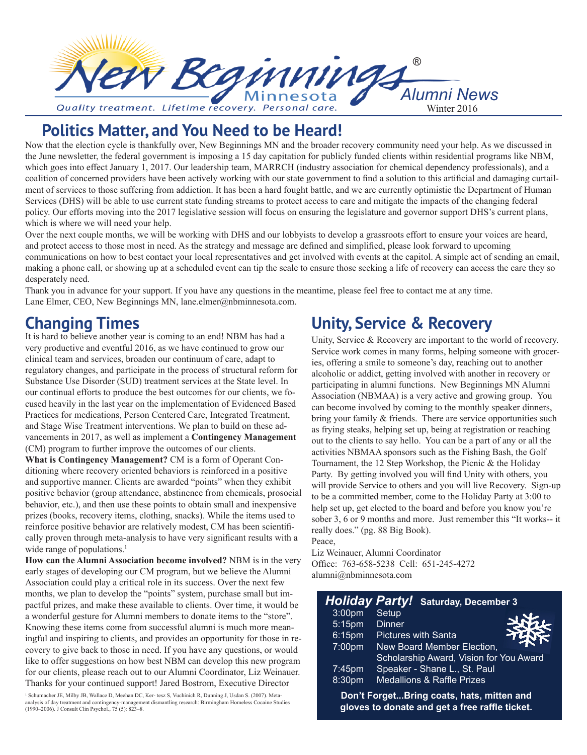

# **Politics Matter, and You Need to be Heard!**

Now that the election cycle is thankfully over, New Beginnings MN and the broader recovery community need your help. As we discussed in the June newsletter, the federal government is imposing a 15 day capitation for publicly funded clients within residential programs like NBM, which goes into effect January 1, 2017. Our leadership team, MARRCH (industry association for chemical dependency professionals), and a coalition of concerned providers have been actively working with our state government to find a solution to this artificial and damaging curtailment of services to those suffering from addiction. It has been a hard fought battle, and we are currently optimistic the Department of Human Services (DHS) will be able to use current state funding streams to protect access to care and mitigate the impacts of the changing federal policy. Our efforts moving into the 2017 legislative session will focus on ensuring the legislature and governor support DHS's current plans, which is where we will need your help.

Over the next couple months, we will be working with DHS and our lobbyists to develop a grassroots effort to ensure your voices are heard, and protect access to those most in need. As the strategy and message are defined and simplified, please look forward to upcoming communications on how to best contact your local representatives and get involved with events at the capitol. A simple act of sending an email, making a phone call, or showing up at a scheduled event can tip the scale to ensure those seeking a life of recovery can access the care they so desperately need.

Thank you in advance for your support. If you have any questions in the meantime, please feel free to contact me at any time. Lane Elmer, CEO, New Beginnings MN, lane.elmer@nbminnesota.com.

# **Changing Times**

It is hard to believe another year is coming to an end! NBM has had a very productive and eventful 2016, as we have continued to grow our clinical team and services, broaden our continuum of care, adapt to regulatory changes, and participate in the process of structural reform for Substance Use Disorder (SUD) treatment services at the State level. In our continual efforts to produce the best outcomes for our clients, we focused heavily in the last year on the implementation of Evidenced Based Practices for medications, Person Centered Care, Integrated Treatment, and Stage Wise Treatment interventions. We plan to build on these advancements in 2017, as well as implement a **Contingency Management** (CM) program to further improve the outcomes of our clients.

**What is Contingency Management?** CM is a form of Operant Conditioning where recovery oriented behaviors is reinforced in a positive and supportive manner. Clients are awarded "points" when they exhibit positive behavior (group attendance, abstinence from chemicals, prosocial behavior, etc.), and then use these points to obtain small and inexpensive prizes (books, recovery items, clothing, snacks). While the items used to reinforce positive behavior are relatively modest, CM has been scientifically proven through meta-analysis to have very significant results with a wide range of populations.<sup>1</sup>

**How can the Alumni Association become involved?** NBM is in the very early stages of developing our CM program, but we believe the Alumni Association could play a critical role in its success. Over the next few months, we plan to develop the "points" system, purchase small but impactful prizes, and make these available to clients. Over time, it would be a wonderful gesture for Alumni members to donate items to the "store". Knowing these items come from successful alumni is much more meaningful and inspiring to clients, and provides an opportunity for those in recovery to give back to those in need. If you have any questions, or would like to offer suggestions on how best NBM can develop this new program for our clients, please reach out to our Alumni Coordinator, Liz Weinauer. Thanks for your continued support! Jared Bostrom, Executive Director

1 Schumacher JE, Milby JB, Wallace D, Meehan DC, Ker- tesz S, Vuchinich R, Dunning J, Usdan S. (2007). Metaanalysis of day treatment and contingency-management dismantling research: Birmingham Homeless Cocaine Studies (1990–2006). J Consult Clin Psychol., 75 (5): 823–8.

# **Unity, Service & Recovery**

Unity, Service & Recovery are important to the world of recovery. Service work comes in many forms, helping someone with groceries, offering a smile to someone's day, reaching out to another alcoholic or addict, getting involved with another in recovery or participating in alumni functions. New Beginnings MN Alumni Association (NBMAA) is a very active and growing group. You can become involved by coming to the monthly speaker dinners, bring your family & friends. There are service opportunities such as frying steaks, helping set up, being at registration or reaching out to the clients to say hello. You can be a part of any or all the activities NBMAA sponsors such as the Fishing Bash, the Golf Tournament, the 12 Step Workshop, the Picnic & the Holiday Party. By getting involved you will find Unity with others, you will provide Service to others and you will live Recovery. Sign-up to be a committed member, come to the Holiday Party at 3:00 to help set up, get elected to the board and before you know you're sober 3, 6 or 9 months and more. Just remember this "It works-- it really does." (pg. 88 Big Book). Peace,

Liz Weinauer, Alumni Coordinator Office: 763-658-5238 Cell: 651-245-4272 alumni@nbminnesota.com

| <b>Holiday Party!</b> Saturday, December 3                                                  |                                         |  |
|---------------------------------------------------------------------------------------------|-----------------------------------------|--|
| 3:00pm                                                                                      | Setup                                   |  |
| $5:15$ pm                                                                                   | <b>Dinner</b>                           |  |
| $6:15$ pm                                                                                   | <b>Pictures with Santa</b>              |  |
| 7:00pm                                                                                      | New Board Member Election,              |  |
|                                                                                             | Scholarship Award, Vision for You Award |  |
| $7:45$ pm                                                                                   | Speaker - Shane L., St. Paul            |  |
| 8:30pm                                                                                      | <b>Medallions &amp; Raffle Prizes</b>   |  |
| Don't ForgetBring coats, hats, mitten and<br>gloves to donate and get a free raffle ticket. |                                         |  |